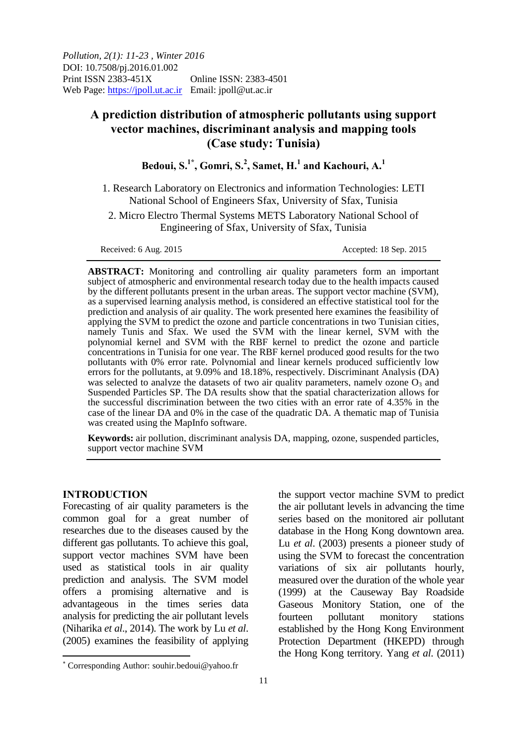*Pollution, 2(1): 11-23 , Winter 2016* DOI: 10.7508/pj.2016.01.002 Print ISSN 2383-451X Online ISSN: 2383-4501 Web Page: https://jpoll.ut.ac.ir Email: jpoll@ut.ac.ir

# **A prediction distribution of atmospheric pollutants using support vector machines, discriminant analysis and mapping tools (Case study: Tunisia)**

**Bedoui, S.1\*, Gomri, S.<sup>2</sup> , Samet, H.<sup>1</sup> and Kachouri, A.<sup>1</sup>**

1. Research Laboratory on Electronics and information Technologies: LETI National School of Engineers Sfax, University of Sfax, Tunisia

2. Micro Electro Thermal Systems METS Laboratory National School of Engineering of Sfax, University of Sfax, Tunisia

Received: 6 Aug. 2015 **Accepted: 18 Sep. 2015** 

**ABSTRACT:** Monitoring and controlling air quality parameters form an important subject of atmospheric and environmental research today due to the health impacts caused by the different pollutants present in the urban areas. The support vector machine (SVM), as a supervised learning analysis method, is considered an effective statistical tool for the prediction and analysis of air quality. The work presented here examines the feasibility of applying the SVM to predict the ozone and particle concentrations in two Tunisian cities, namely Tunis and Sfax. We used the SVM with the linear kernel, SVM with the polynomial kernel and SVM with the RBF kernel to predict the ozone and particle concentrations in Tunisia for one year. The RBF kernel produced good results for the two pollutants with 0% error rate. Polynomial and linear kernels produced sufficiently low errors for the pollutants, at 9.09% and 18.18%, respectively. Discriminant Analysis (DA) was selected to analyze the datasets of two air quality parameters, namely ozone  $O_3$  and Suspended Particles SP. The DA results show that the spatial characterization allows for the successful discrimination between the two cities with an error rate of 4.35% in the case of the linear DA and 0% in the case of the quadratic DA. A thematic map of Tunisia was created using the MapInfo software.

**Keywords:** air pollution, discriminant analysis DA, mapping, ozone, suspended particles, support vector machine SVM

### **INTRODUCTION**

 $\overline{\phantom{a}}$ 

Forecasting of air quality parameters is the common goal for a great number of researches due to the diseases caused by the different gas pollutants. To achieve this goal, support vector machines SVM have been used as statistical tools in air quality prediction and analysis. The SVM model offers a promising alternative and is advantageous in the times series data analysis for predicting the air pollutant levels (Niharika *et al*., 2014). The work by Lu *et al*. (2005) examines the feasibility of applying

the support vector machine SVM to predict the air pollutant levels in advancing the time series based on the monitored air pollutant database in the Hong Kong downtown area. Lu *et al*. (2003) presents a pioneer study of using the SVM to forecast the concentration variations of six air pollutants hourly, measured over the duration of the whole year (1999) at the Causeway Bay Roadside Gaseous Monitory Station, one of the fourteen pollutant monitory stations established by the Hong Kong Environment Protection Department (HKEPD) through the Hong Kong territory. Yang *et al*. (2011)

 Corresponding Author: souhir.bedoui@yahoo.fr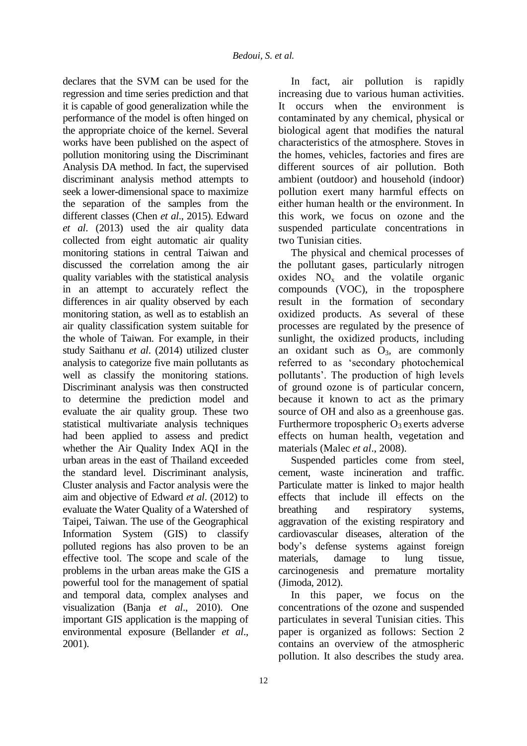declares that the SVM can be used for the regression and time series prediction and that it is capable of good generalization while the performance of the model is often hinged on the appropriate choice of the kernel. Several works have been published on the aspect of pollution monitoring using the Discriminant Analysis DA method. In fact, the supervised discriminant analysis method attempts to seek a lower-dimensional space to maximize the separation of the samples from the different classes (Chen *et al*., 2015). Edward *et al*. (2013) used the air quality data collected from eight automatic air quality monitoring stations in central Taiwan and discussed the correlation among the air quality variables with the statistical analysis in an attempt to accurately reflect the differences in air quality observed by each monitoring station, as well as to establish an air quality classification system suitable for the whole of Taiwan. For example, in their study Saithanu *et al*. (2014) utilized cluster analysis to categorize five main pollutants as well as classify the monitoring stations. Discriminant analysis was then constructed to determine the prediction model and evaluate the air quality group. These two statistical multivariate analysis techniques had been applied to assess and predict whether the Air Quality Index AQI in the urban areas in the east of Thailand exceeded the standard level. Discriminant analysis, Cluster analysis and Factor analysis were the aim and objective of Edward *et al*. (2012) to evaluate the Water Quality of a Watershed of Taipei, Taiwan. The use of the Geographical Information System (GIS) to classify polluted regions has also proven to be an effective tool. The scope and scale of the problems in the urban areas make the GIS a powerful tool for the management of spatial and temporal data, complex analyses and visualization (Banja *et al*., 2010). One important GIS application is the mapping of environmental exposure (Bellander *et al*., 2001).

In fact, air pollution is rapidly increasing due to various human activities. It occurs when the environment is contaminated by any chemical, physical or biological agent that modifies the natural characteristics of the atmosphere. Stoves in the homes, vehicles, factories and fires are different sources of air pollution. Both ambient (outdoor) and household (indoor) pollution exert many harmful effects on either human health or the environment. In this work, we focus on ozone and the suspended particulate concentrations in two Tunisian cities.

The physical and chemical processes of the pollutant gases, particularly nitrogen oxides  $NO<sub>x</sub>$  and the volatile organic compounds (VOC), in the troposphere result in the formation of secondary oxidized products. As several of these processes are regulated by the presence of sunlight, the oxidized products, including an oxidant such as  $O_3$ , are commonly referred to as 'secondary photochemical pollutants'. The production of high levels of ground ozone is of particular concern, because it known to act as the primary source of OH and also as a greenhouse gas. Furthermore tropospheric  $O_3$  exerts adverse effects on human health, vegetation and materials (Malec *et al*., 2008).

Suspended particles come from steel, cement, waste incineration and traffic. Particulate matter is linked to major health effects that include ill effects on the breathing and respiratory systems. aggravation of the existing respiratory and cardiovascular diseases, alteration of the body's defense systems against foreign materials, damage to lung tissue, carcinogenesis and premature mortality (Jimoda, 2012).

In this paper, we focus on the concentrations of the ozone and suspended particulates in several Tunisian cities. This paper is organized as follows: Section 2 contains an overview of the atmospheric pollution. It also describes the study area.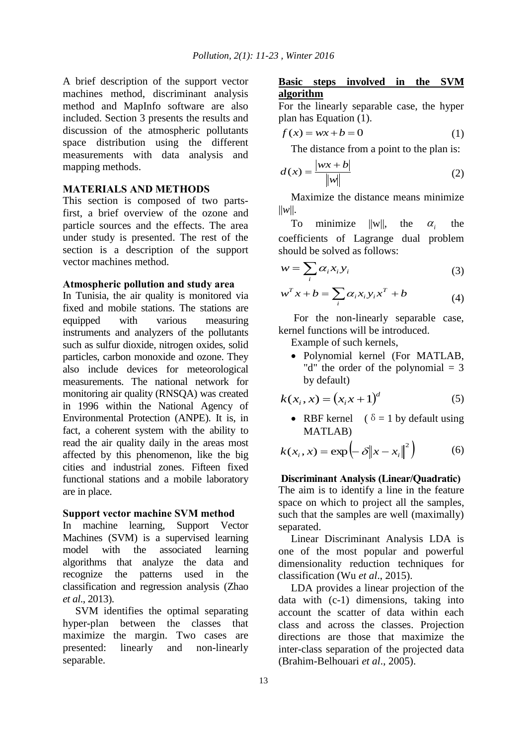A brief description of the support vector machines method, discriminant analysis method and MapInfo software are also included. Section 3 presents the results and discussion of the atmospheric pollutants space distribution using the different measurements with data analysis and mapping methods.

### **MATERIALS AND METHODS**

This section is composed of two partsfirst, a brief overview of the ozone and particle sources and the effects. The area under study is presented. The rest of the section is a description of the support vector machines method.

### **Atmospheric pollution and study area**

In Tunisia, the air quality is monitored via fixed and mobile stations. The stations are equipped with various measuring instruments and analyzers of the pollutants such as sulfur dioxide, nitrogen oxides, solid particles, carbon monoxide and ozone. They also include devices for meteorological measurements. The national network for monitoring air quality (RNSQA) was created in 1996 within the National Agency of Environmental Protection (ANPE). It is, in fact, a coherent system with the ability to read the air quality daily in the areas most affected by this phenomenon, like the big cities and industrial zones. Fifteen fixed functional stations and a mobile laboratory are in place.

#### **Support vector machine SVM method**

In machine learning, Support Vector Machines (SVM) is a supervised learning model with the associated learning algorithms that analyze the data and recognize the patterns used in the classification and regression analysis (Zhao *et al*., 2013).

SVM identifies the optimal separating hyper-plan between the classes that maximize the margin. Two cases are presented: linearly and non-linearly separable.

# **Basic steps involved in the SVM algorithm**

For the linearly separable case, the hyper plan has Equation (1).

$$
f(x) = wx + b = 0 \tag{1}
$$

The distance from a point to the plan is:

$$
d(x) = \frac{|wx + b|}{\|w\|} \tag{2}
$$

Maximize the distance means minimize  $||w||$ .

To minimize  $||w||$ , the  $\alpha_i$ the coefficients of Lagrange dual problem should be solved as follows:

$$
w = \sum_{i} \alpha_i x_i y_i \tag{3}
$$

$$
w^T x + b = \sum_i \alpha_i x_i y_i x^T + b \tag{4}
$$

For the non-linearly separable case, kernel functions will be introduced.

Example of such kernels,

 Polynomial kernel (For MATLAB, "d" the order of the polynomial  $=$  3 by default)

$$
k(x_i, x) = (x_i x + 1)^d \tag{5}
$$

• RBF kernel ( $\delta = 1$  by default using MATLAB)

$$
k(x_i, x) = \exp\left(-\delta \|x - x_i\|^2\right) \tag{6}
$$

#### **Discriminant Analysis (Linear/Quadratic)**

The aim is to identify a line in the feature space on which to project all the samples, such that the samples are well (maximally) separated.

Linear Discriminant Analysis LDA is one of the most popular and powerful dimensionality reduction techniques for classification (Wu *et al*., 2015).

LDA provides a linear projection of the data with (c-1) dimensions, taking into account the scatter of data within each class and across the classes. Projection directions are those that maximize the inter-class separation of the projected data (Brahim-Belhouari *et al*., 2005).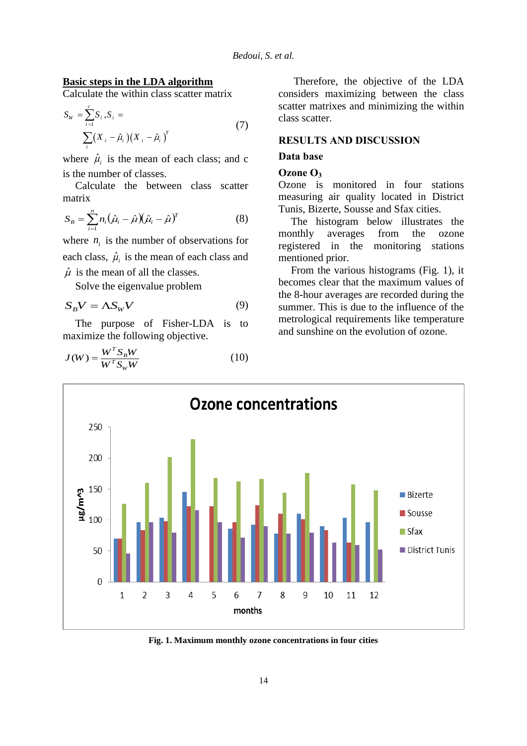### **Basic steps in the LDA algorithm**

*i*

Calculate the within class scatter matrix

$$
S_{w} = \sum_{i=1}^{c} S_{i}, S_{i} = \sum_{i=1}^{c} (X_{i} - \hat{\mu}_{i}) (X_{i} - \hat{\mu}_{i})^{T}
$$
(7)

where  $\hat{\mu}_i$  is the mean of each class; and c is the number of classes.

Calculate the between class scatter matrix

$$
S_B = \sum_{i=1}^n n_i (\hat{\mu}_i - \hat{\mu}) (\hat{\mu}_i - \hat{\mu})^T
$$
 (8)

where  $n_i$  is the number of observations for each class,  $\hat{\mu}_i$  is the mean of each class and  $\hat{\mu}$  is the mean of all the classes.

Solve the eigenvalue problem

$$
S_B V = \Lambda S_W V \tag{9}
$$

The purpose of Fisher-LDA is to maximize the following objective.

$$
J(W) = \frac{W^T S_B W}{W^T S_W W}
$$
 (10)

Therefore, the objective of the LDA considers maximizing between the class scatter matrixes and minimizing the within class scatter.

### **RESULTS AND DISCUSSION**

### **Data base**

#### **Ozone O<sup>3</sup>**

Ozone is monitored in four stations measuring air quality located in District Tunis, Bizerte, Sousse and Sfax cities.

The histogram below illustrates the monthly averages from the ozone registered in the monitoring stations mentioned prior.

From the various histograms (Fig. 1), it becomes clear that the maximum values of the 8-hour averages are recorded during the summer. This is due to the influence of the metrological requirements like temperature and sunshine on the evolution of ozone.



**Fig. 1. Maximum monthly ozone concentrations in four cities**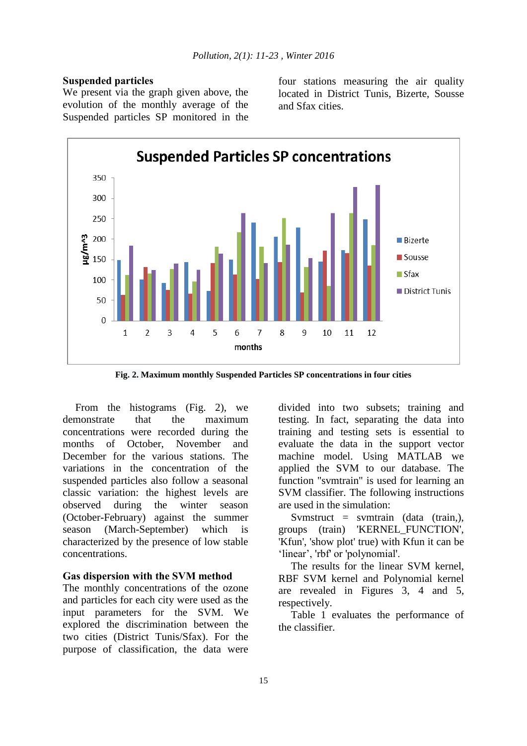### **Suspended particles**

We present via the graph given above, the evolution of the monthly average of the Suspended particles SP monitored in the four stations measuring the air quality located in District Tunis, Bizerte, Sousse and Sfax cities.



**Fig. 2. Maximum monthly Suspended Particles SP concentrations in four cities**

From the histograms (Fig. 2), we demonstrate that the maximum concentrations were recorded during the months of October, November and December for the various stations. The variations in the concentration of the suspended particles also follow a seasonal classic variation: the highest levels are observed during the winter season (October-February) against the summer season (March-September) which is characterized by the presence of low stable concentrations.

### **Gas dispersion with the SVM method**

The monthly concentrations of the ozone and particles for each city were used as the input parameters for the SVM. We explored the discrimination between the two cities (District Tunis/Sfax). For the purpose of classification, the data were

divided into two subsets; training and testing. In fact, separating the data into training and testing sets is essential to evaluate the data in the support vector machine model. Using MATLAB we applied the SVM to our database. The function "svmtrain" is used for learning an SVM classifier. The following instructions are used in the simulation:

Symstruct = symtrain (data (train,), groups (train) 'KERNEL\_FUNCTION', 'Kfun', 'show plot' true) with Kfun it can be 'linear', 'rbf' or 'polynomial'.

The results for the linear SVM kernel, RBF SVM kernel and Polynomial kernel are revealed in Figures 3, 4 and 5, respectively.

Table 1 evaluates the performance of the classifier.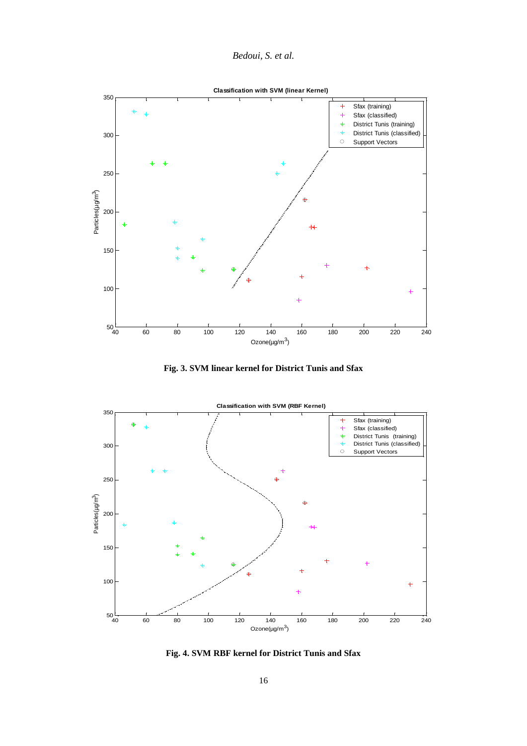



**Fig. 3. SVM linear kernel for District Tunis and Sfax**



**Fig. 4. SVM RBF kernel for District Tunis and Sfax**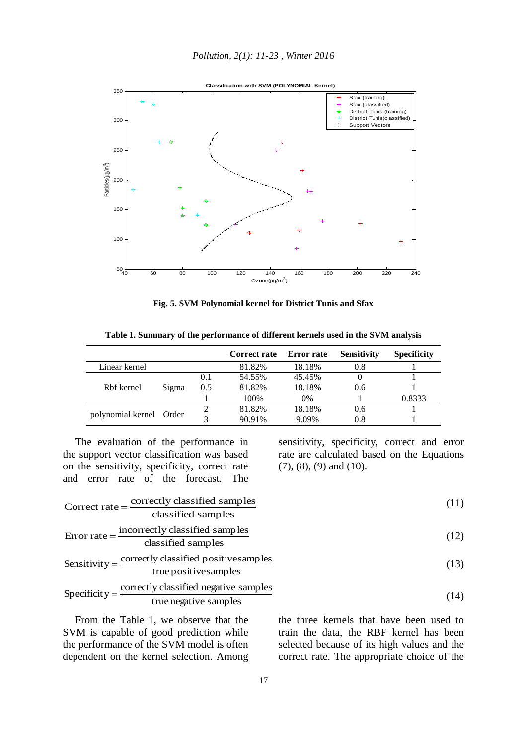

**Fig. 5. SVM Polynomial kernel for District Tunis and Sfax**

|                   |       |     | Correct rate | <b>Error rate</b> | <b>Sensitivity</b> | <b>Specificity</b> |
|-------------------|-------|-----|--------------|-------------------|--------------------|--------------------|
| Linear kernel     |       |     | 81.82%       | 18.18%            | 0.8                |                    |
| Rbf kernel        | Sigma | 0.1 | 54.55%       | 45.45%            |                    |                    |
|                   |       | 0.5 | 81.82%       | 18.18%            | 0.6                |                    |
|                   |       |     | 100%         | $0\%$             |                    | 0.8333             |
| polynomial kernel | Order |     | 81.82%       | 18.18%            | 0.6                |                    |
|                   |       | 2   | 90.91%       | 9.09%             | 0.8                |                    |

**Table 1. Summary of the performance of different kernels used in the SVM analysis**

The evaluation of the performance in the support vector classification was based on the sensitivity, specificity, correct rate and error rate of the forecast. The

Correct rate  $=$  correctly classified samples

Error rate  $=$  incorrectly classified samples

Sensitivity =  $\frac{\text{correctly classified positivesamples}}{}$ 

sensitivity, specificity, correct and error rate are calculated based on the Equations (7), (8), (9) and (10).

(11)

(12)

(14)

$$
(13)
$$

$$
true positivesamples
$$
\n
$$
Specificity = \frac{correctly classified negative samples}{true negative samples}
$$

classified samples

classified samples

truenegative samples

From the Table 1, we observe that the SVM is capable of good prediction while the performance of the SVM model is often dependent on the kernel selection. Among the three kernels that have been used to train the data, the RBF kernel has been selected because of its high values and the correct rate. The appropriate choice of the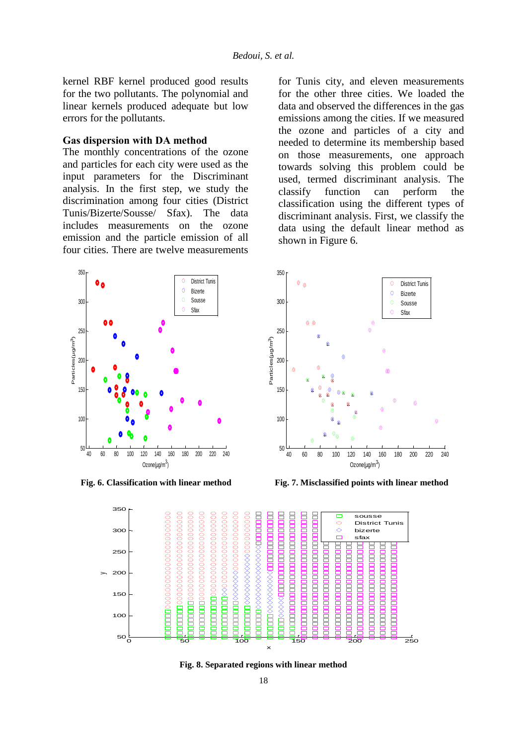kernel RBF kernel produced good results for the two pollutants. The polynomial and linear kernels produced adequate but low errors for the pollutants.

### **Gas dispersion with DA method**

The monthly concentrations of the ozone and particles for each city were used as the input parameters for the Discriminant analysis. In the first step, we study the discrimination among four cities (District Tunis/Bizerte/Sousse/ Sfax). The data includes measurements on the ozone emission and the particle emission of all four cities. There are twelve measurements



for Tunis city, and eleven measurements for the other three cities. We loaded the data and observed the differences in the gas emissions among the cities. If we measured the ozone and particles of a city and needed to determine its membership based on those measurements, one approach towards solving this problem could be used, termed discriminant analysis. The classify function can perform the classification using the different types of discriminant analysis. First, we classify the data using the default linear method as shown in Figure 6.



**Fig. 6. Classification with linear method Fig. 7. Misclassified points with linear method**



**Fig. 8. Separated regions with linear method**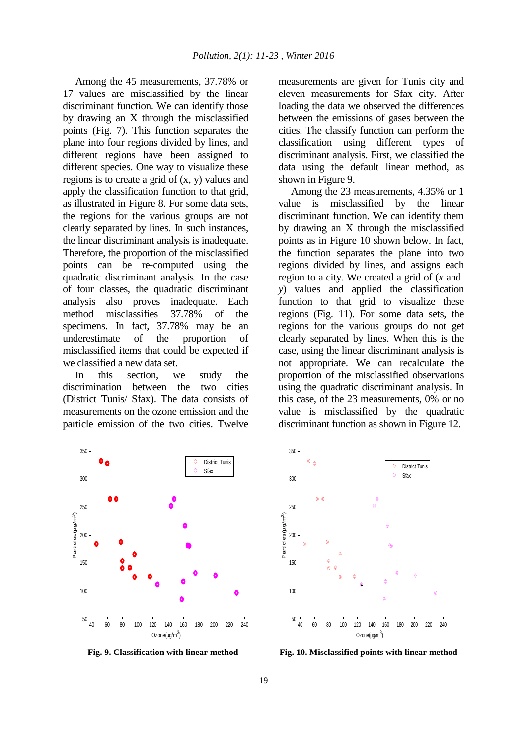Among the 45 measurements, 37.78% or 17 values are misclassified by the linear discriminant function. We can identify those by drawing an X through the misclassified points (Fig. 7). This function separates the plane into four regions divided by lines, and different regions have been assigned to different species. One way to visualize these regions is to create a grid of (x, y) values and apply the classification function to that grid, as illustrated in Figure 8. For some data sets, the regions for the various groups are not clearly separated by lines. In such instances, the linear discriminant analysis is inadequate. Therefore, the proportion of the misclassified points can be re-computed using the quadratic discriminant analysis. In the case of four classes, the quadratic discriminant analysis also proves inadequate. Each method misclassifies 37.78% of the specimens. In fact, 37.78% may be an underestimate of the proportion of misclassified items that could be expected if we classified a new data set.

In this section, we study the discrimination between the two cities (District Tunis/ Sfax). The data consists of measurements on the ozone emission and the particle emission of the two cities. Twelve measurements are given for Tunis city and eleven measurements for Sfax city. After loading the data we observed the differences between the emissions of gases between the cities. The classify function can perform the classification using different types of discriminant analysis. First, we classified the data using the default linear method, as shown in Figure 9.

Among the 23 measurements, 4.35% or 1 value is misclassified by the linear discriminant function. We can identify them by drawing an X through the misclassified points as in Figure 10 shown below. In fact, the function separates the plane into two regions divided by lines, and assigns each region to a city. We created a grid of (*x* and *y*) values and applied the classification function to that grid to visualize these regions (Fig. 11). For some data sets, the regions for the various groups do not get clearly separated by lines. When this is the case, using the linear discriminant analysis is not appropriate. We can recalculate the proportion of the misclassified observations using the quadratic discriminant analysis. In this case, of the 23 measurements, 0% or no value is misclassified by the quadratic discriminant function as shown in Figure 12.





**Fig. 9. Classification with linear method Fig. 10. Misclassified points with linear method**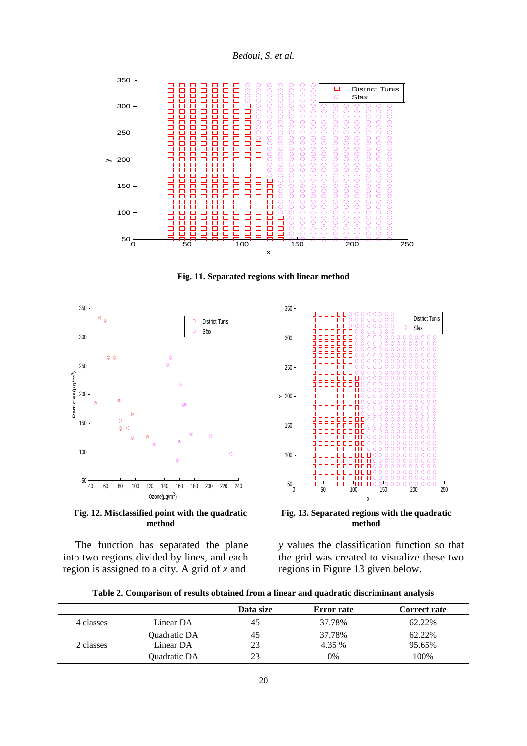*Bedoui, S. et al.*



**Fig. 11. Separated regions with linear method**



**Fig. 12. Misclassified point with the quadratic method**

The function has separated the plane into two regions divided by lines, and each region is assigned to a city. A grid of *x* and



**Fig. 13. Separated regions with the quadratic method**

*y* values the classification function so that the grid was created to visualize these two regions in Figure 13 given below.

| Table 2. Comparison of results obtained from a linear and quadratic discriminant analysis |
|-------------------------------------------------------------------------------------------|
|-------------------------------------------------------------------------------------------|

|           |                     | Data size | <b>Error</b> rate | <b>Correct rate</b> |
|-----------|---------------------|-----------|-------------------|---------------------|
| 4 classes | Linear DA           | 45        | 37.78%            | 62.22%              |
|           | Quadratic DA        | 45        | 37.78%            | 62.22%              |
| 2 classes | Linear DA           | 23        | 4.35 %            | 95.65%              |
|           | <b>Ouadratic DA</b> | 23        | 0%                | 100%                |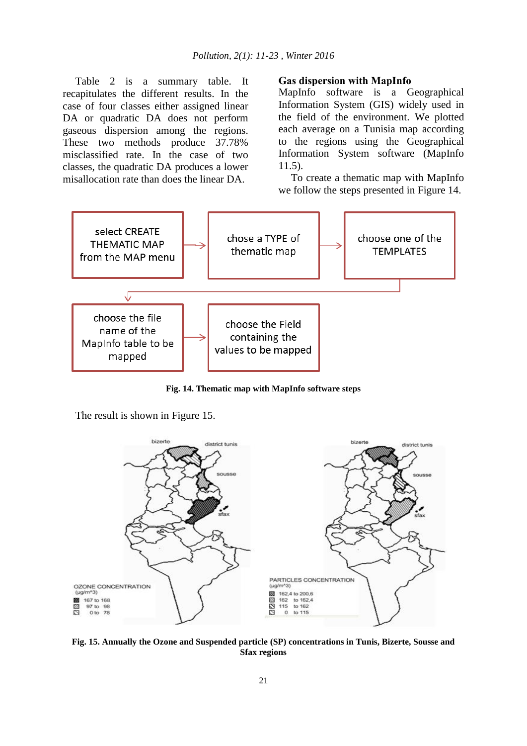Table 2 is a summary table. It recapitulates the different results. In the case of four classes either assigned linear DA or quadratic DA does not perform gaseous dispersion among the regions. These two methods produce 37.78% misclassified rate. In the case of two classes, the quadratic DA produces a lower misallocation rate than does the linear DA.

### **Gas dispersion with MapInfo**

MapInfo software is a Geographical Information System (GIS) widely used in the field of the environment. We plotted each average on a Tunisia map according to the regions using the Geographical Information System software (MapInfo 11.5).

To create a thematic map with MapInfo we follow the steps presented in Figure 14.



**Fig. 14. Thematic map with MapInfo software steps**

The result is shown in Figure 15.



**Fig. 15. Annually the Ozone and Suspended particle (SP) concentrations in Tunis, Bizerte, Sousse and Sfax regions**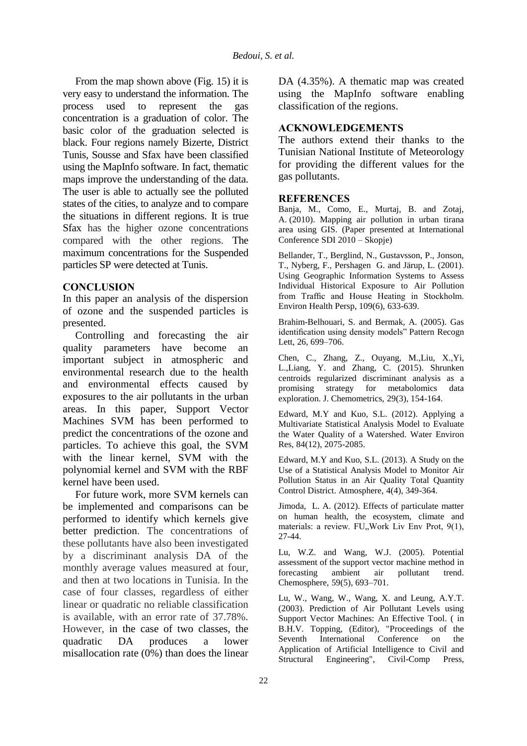From the map shown above (Fig. 15) it is very easy to understand the information. The process used to represent the gas concentration is a graduation of color. The basic color of the graduation selected is black. Four regions namely Bizerte, District Tunis, Sousse and Sfax have been classified using the MapInfo software. In fact, thematic maps improve the understanding of the data. The user is able to actually see the polluted states of the cities, to analyze and to compare the situations in different regions. It is true Sfax has the higher ozone concentrations compared with the other regions. The maximum concentrations for the Suspended particles SP were detected at Tunis.

### **CONCLUSION**

In this paper an analysis of the dispersion of ozone and the suspended particles is presented.

Controlling and forecasting the air quality parameters have become an important subject in atmospheric and environmental research due to the health and environmental effects caused by exposures to the air pollutants in the urban areas. In this paper, Support Vector Machines SVM has been performed to predict the concentrations of the ozone and particles. To achieve this goal, the SVM with the linear kernel, SVM with the polynomial kernel and SVM with the RBF kernel have been used.

For future work, more SVM kernels can be implemented and comparisons can be performed to identify which kernels give better prediction. The concentrations of these pollutants have also been investigated by a discriminant analysis DA of the monthly average values measured at four, and then at two locations in Tunisia. In the case of four classes, regardless of either linear or quadratic no reliable classification is available, with an error rate of 37.78%. However, in the case of two classes, the quadratic DA produces a lower misallocation rate (0%) than does the linear

DA (4.35%). A thematic map was created using the MapInfo software enabling classification of the regions.

# **ACKNOWLEDGEMENTS**

The authors extend their thanks to the Tunisian National Institute of Meteorology for providing the different values for the gas pollutants.

### **REFERENCES**

Banja, M., Como, E., Murtaj, B. and Zotaj, A. (2010). Mapping air pollution in urban tirana area using GIS. (Paper presented at International Conference SDI 2010 – Skopje)

Bellander, T., Berglind, N., Gustavsson, P., Jonson, T., Nyberg, F., Pershagen G. and Järup, L. (2001). Using Geographic Information Systems to Assess Individual Historical Exposure to Air Pollution from Traffic and House Heating in Stockholm. Environ Health Persp, 109(6), 633-639.

Brahim-Belhouari, S. and Bermak, A. (2005). Gas identification using density models" Pattern Recogn Lett, 26, 699–706.

Chen, C., Zhang, Z., Ouyang, M.,Liu, X.,Yi, L.,Liang, Y. and Zhang, C. (2015). Shrunken centroids regularized discriminant analysis as a promising strategy for metabolomics data exploration. J. Chemometrics, 29(3), 154-164.

Edward, M.Y and Kuo, S.L. (2012). Applying a Multivariate Statistical Analysis Model to Evaluate the Water Quality of a Watershed. Water Environ Res, 84(12), 2075-2085.

Edward, M.Y and Kuo, S.L. (2013). A Study on the Use of a Statistical Analysis Model to Monitor Air Pollution Status in an Air Quality Total Quantity Control District. Atmosphere, 4(4), 349-364.

Jimoda, L. A. (2012). Effects of particulate matter on human health, the ecosystem, climate and materials: a review. FU, Work Liv Env Prot, 9(1), 27-44.

Lu, W.Z. and Wang, W.J. (2005). Potential assessment of the support vector machine method in forecasting ambient air pollutant trend. Chemosphere, 59(5), 693–701.

Lu, W., Wang, W., Wang, X. and Leung, A.Y.T. (2003). Prediction of Air Pollutant Levels using Support Vector Machines: An Effective Tool. ( in B.H.V. Topping, (Editor), "Proceedings of the Seventh International Conference on the Application of Artificial Intelligence to Civil and Structural Engineering", Civil-Comp Press,